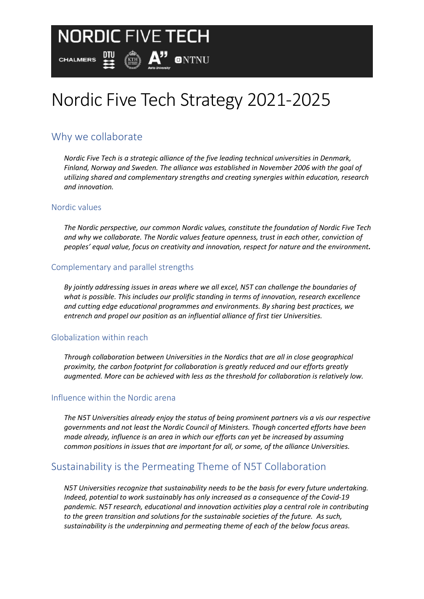# Nordic Five Tech Strategy 2021-2025

 $\binom{m}{k}$   $A$ <sup>"</sup> ontnu

## Why we collaborate

四

**NORDIC FIVE TECH** 

*Nordic Five Tech is a strategic alliance of the five leading technical universities in Denmark, Finland, Norway and Sweden. The alliance was established in November 2006 with the goal of utilizing shared and complementary strengths and creating synergies within education, research and innovation.*

## Nordic values

**CHALMERS** 

*The Nordic perspective, our common Nordic values, constitute the foundation of Nordic Five Tech and why we collaborate. The Nordic values feature openness, trust in each other, conviction of peoples' equal value, focus on creativity and innovation, respect for nature and the environment.*

### Complementary and parallel strengths

*By jointly addressing issues in areas where we all excel, N5T can challenge the boundaries of what is possible. This includes our prolific standing in terms of innovation, research excellence and cutting edge educational programmes and environments. By sharing best practices, we entrench and propel our position as an influential alliance of first tier Universities.* 

#### Globalization within reach

*Through collaboration between Universities in the Nordics that are all in close geographical proximity, the carbon footprint for collaboration is greatly reduced and our efforts greatly augmented. More can be achieved with less as the threshold for collaboration is relatively low.*

#### Influence within the Nordic arena

*The N5T Universities already enjoy the status of being prominent partners vis a vis our respective governments and not least the Nordic Council of Ministers. Though concerted efforts have been made already, influence is an area in which our efforts can yet be increased by assuming common positions in issues that are important for all, or some, of the alliance Universities.* 

## Sustainability is the Permeating Theme of N5T Collaboration

*N5T Universities recognize that sustainability needs to be the basis for every future undertaking. Indeed, potential to work sustainably has only increased as a consequence of the Covid-19 pandemic. N5T research, educational and innovation activities play a central role in contributing to the green transition and solutions for the sustainable societies of the future. As such, sustainability is the underpinning and permeating theme of each of the below focus areas.*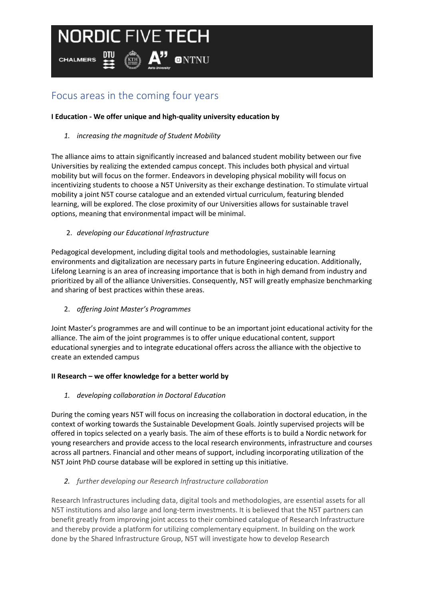# **NORDIC FIVE TECH**

**KTH** 

**CHALMERS** 

# Focus areas in the coming four years

### **I Education - We offer unique and high-quality university education by**

**ONTNU** 

*1. increasing the magnitude of Student Mobility* 

The alliance aims to attain significantly increased and balanced student mobility between our five Universities by realizing the extended campus concept. This includes both physical and virtual mobility but will focus on the former. Endeavors in developing physical mobility will focus on incentivizing students to choose a N5T University as their exchange destination. To stimulate virtual mobility a joint N5T course catalogue and an extended virtual curriculum, featuring blended learning, will be explored. The close proximity of our Universities allows for sustainable travel options, meaning that environmental impact will be minimal.

### 2. *developing our Educational Infrastructure*

Pedagogical development, including digital tools and methodologies, sustainable learning environments and digitalization are necessary parts in future Engineering education. Additionally, Lifelong Learning is an area of increasing importance that is both in high demand from industry and prioritized by all of the alliance Universities. Consequently, N5T will greatly emphasize benchmarking and sharing of best practices within these areas.

2. *offering Joint Master's Programmes* 

Joint Master's programmes are and will continue to be an important joint educational activity for the alliance. The aim of the joint programmes is to offer unique educational content, support educational synergies and to integrate educational offers across the alliance with the objective to create an extended campus

#### **II Research – we offer knowledge for a better world by**

*1. developing collaboration in Doctoral Education*

During the coming years N5T will focus on increasing the collaboration in doctoral education, in the context of working towards the Sustainable Development Goals. Jointly supervised projects will be offered in topics selected on a yearly basis. The aim of these efforts is to build a Nordic network for young researchers and provide access to the local research environments, infrastructure and courses across all partners. Financial and other means of support, including incorporating utilization of the N5T Joint PhD course database will be explored in setting up this initiative.

#### *2. further developing our Research Infrastructure collaboration*

Research Infrastructures including data, digital tools and methodologies, are essential assets for all N5T institutions and also large and long-term investments. It is believed that the N5T partners can benefit greatly from improving joint access to their combined catalogue of Research Infrastructure and thereby provide a platform for utilizing complementary equipment. In building on the work done by the Shared Infrastructure Group, N5T will investigate how to develop Research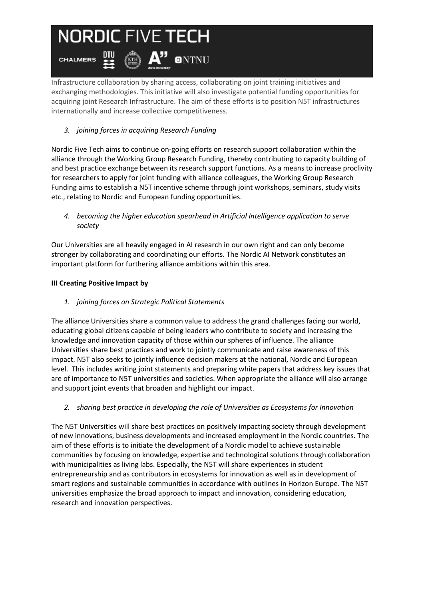# **NORDIC FIVE TECH**

 $\left(\mathbb{R}\right)$   $\mathsf{A}$ <sup>"</sup> ontnu

 $\mathbf{H}$ 

**CHALMERS** 

Infrastructure collaboration by sharing access, collaborating on joint training initiatives and exchanging methodologies. This initiative will also investigate potential funding opportunities for acquiring joint Research Infrastructure. The aim of these efforts is to position N5T infrastructures internationally and increase collective competitiveness.

## *3. joining forces in acquiring Research Funding*

Nordic Five Tech aims to continue on-going efforts on research support collaboration within the alliance through the Working Group Research Funding, thereby contributing to capacity building of and best practice exchange between its research support functions. As a means to increase proclivity for researchers to apply for joint funding with alliance colleagues, the Working Group Research Funding aims to establish a N5T incentive scheme through joint workshops, seminars, study visits etc., relating to Nordic and European funding opportunities.

*4. becoming the higher education spearhead in Artificial Intelligence application to serve society* 

Our Universities are all heavily engaged in AI research in our own right and can only become stronger by collaborating and coordinating our efforts. The Nordic AI Network constitutes an important platform for furthering alliance ambitions within this area.

### **III Creating Positive Impact by**

*1. joining forces on Strategic Political Statements*

The alliance Universities share a common value to address the grand challenges facing our world, educating global citizens capable of being leaders who contribute to society and increasing the knowledge and innovation capacity of those within our spheres of influence. The alliance Universities share best practices and work to jointly communicate and raise awareness of this impact. N5T also seeks to jointly influence decision makers at the national, Nordic and European level. This includes writing joint statements and preparing white papers that address key issues that are of importance to N5T universities and societies. When appropriate the alliance will also arrange and support joint events that broaden and highlight our impact.

*2. sharing best practice in developing the role of Universities as Ecosystems for Innovation*

The N5T Universities will share best practices on positively impacting society through development of new innovations, business developments and increased employment in the Nordic countries. The aim of these efforts is to initiate the development of a Nordic model to achieve sustainable communities by focusing on knowledge, expertise and technological solutions through collaboration with municipalities as living labs. Especially, the N5T will share experiences in student entrepreneurship and as contributors in ecosystems for innovation as well as in development of smart regions and sustainable communities in accordance with outlines in Horizon Europe. The N5T universities emphasize the broad approach to impact and innovation, considering education, research and innovation perspectives.